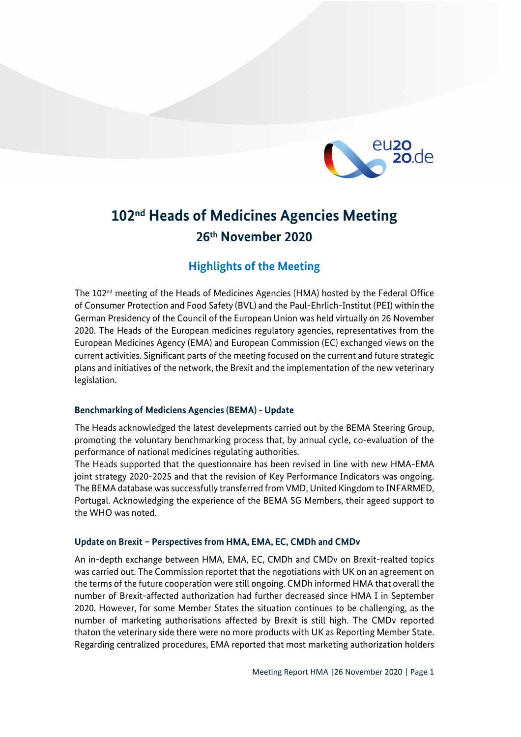

# **102nd Heads of Medicines Agencies Meeting 26th November 2020**

# **Highlights of the Meeting**

The  $102^{nd}$  meeting of the Heads of Medicines Agencies (HMA) hosted by the Federal Office of Consumer Protection and Food Safety (BVL) and the Paul-Ehrlich-Institut (PEI) within the German Presidency of the Council of the European Union was held virtually on 26 November 2020. The Heads of the European medicines regulatory agencies, representatives from the European Medicines Agency (EMA) and European Commission (EC) exchanged views on the current activities. Significant parts of the meeting focused on the current and future strategic plans and initiatives of the network, the Brexit and the implementation of the new veterinary legislation.

## **Benchmarking of Mediciens Agencies (BEMA) - Update**

The Heads acknowledged the latest develepments carried out by the BEMA Steering Group, promoting the voluntary benchmarking process that, by annual cycle, co-evaluation of the performance of national medicines regulating authorities.

The Heads supported that the questionnaire has been revised in line with new HMA-EMA joint strategy 2020-2025 and that the revision of Key Performance Indicators was ongoing. The BEMA database was successfully transferred from VMD, United Kingdom to INFARMED, Portugal. Acknowledging the experience of the BEMA SG Members, their ageed support to the WHO was noted.

## **Update on Brexit – Perspectives from HMA, EMA, EC, CMDh and CMDv**

An in-depth exchange between HMA, EMA, EC, CMDh and CMDv on Brexit-realted topics was carried out. The Commission reportet that the negotiations with UK on an agreement on the terms of the future cooperation were still ongoing. CMDh informed HMA that overall the number of Brexit-affected authorization had further decreased since HMA I in September 2020. However, for some Member States the situation continues to be challenging, as the number of marketing authorisations affected by Brexit is still high. The CMDv reported thaton the veterinary side there were no more products with UK as Reporting Member State. Regarding centralized procedures, EMA reported that most marketing authorization holders